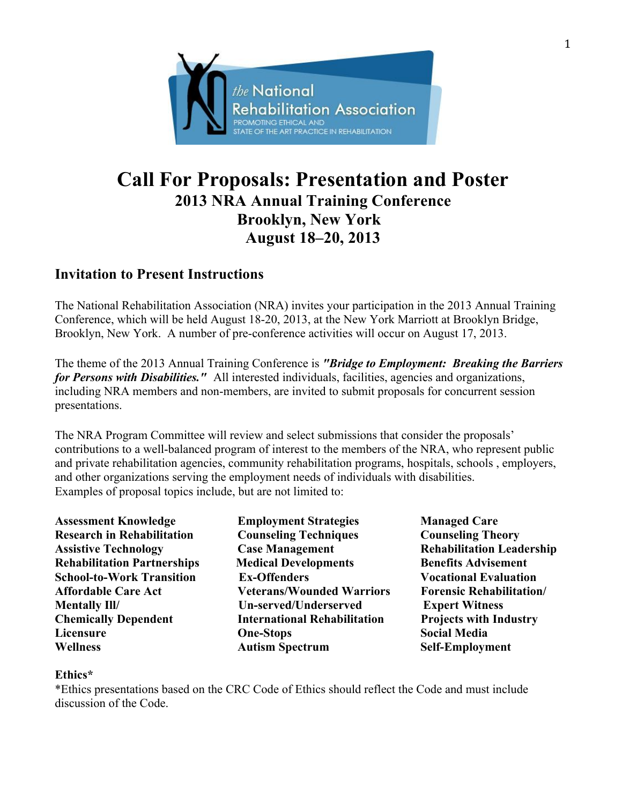

# **Call For Proposals: Presentation and Poster 2013 NRA Annual Training Conference Brooklyn, New York August 18–20, 2013**

## **Invitation to Present Instructions**

The National Rehabilitation Association (NRA) invites your participation in the 2013 Annual Training Conference, which will be held August 18-20, 2013, at the New York Marriott at Brooklyn Bridge, Brooklyn, New York. A number of pre-conference activities will occur on August 17, 2013.

The theme of the 2013 Annual Training Conference is *"Bridge to Employment: Breaking the Barriers for Persons with Disabilities."* All interested individuals, facilities, agencies and organizations, including NRA members and non-members, are invited to submit proposals for concurrent session presentations.

The NRA Program Committee will review and select submissions that consider the proposals' contributions to a well-balanced program of interest to the members of the NRA, who represent public and private rehabilitation agencies, community rehabilitation programs, hospitals, schools , employers, and other organizations serving the employment needs of individuals with disabilities. Examples of proposal topics include, but are not limited to:

**Assessment Knowledge Employment Strategies Managed Care Research in Rehabilitation Counseling Techniques Counseling Theory** Assistive Technology **Case Management Rehabilitation Leadership Rehabilitation Partnerships 5 Medical Developments 5 Benefits Advisement School-to-Work Transition Ex-Offenders Vocational Evaluation Affordable Care Act Veterans/Wounded Warriors Forensic Rehabilitation/ Mentally Ill/ Un-served/Underserved Expert Witness Chemically Dependent International Rehabilitation Projects with Industry Licensure One-Stops Social Media Wellness Autism Spectrum Self-Employment**

## **Ethics\***

\*Ethics presentations based on the CRC Code of Ethics should reflect the Code and must include discussion of the Code.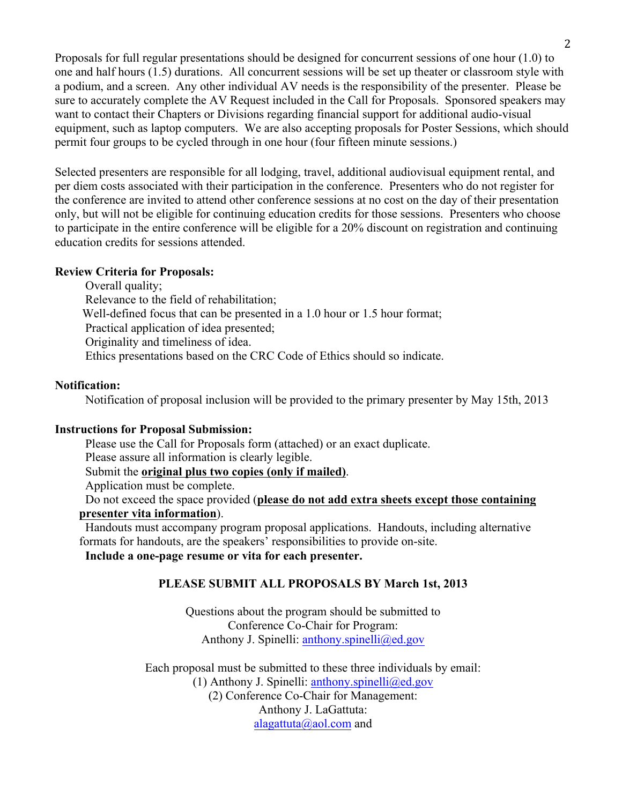Proposals for full regular presentations should be designed for concurrent sessions of one hour (1.0) to one and half hours (1.5) durations. All concurrent sessions will be set up theater or classroom style with a podium, and a screen. Any other individual AV needs is the responsibility of the presenter. Please be sure to accurately complete the AV Request included in the Call for Proposals. Sponsored speakers may want to contact their Chapters or Divisions regarding financial support for additional audio-visual equipment, such as laptop computers. We are also accepting proposals for Poster Sessions, which should permit four groups to be cycled through in one hour (four fifteen minute sessions.)

Selected presenters are responsible for all lodging, travel, additional audiovisual equipment rental, and per diem costs associated with their participation in the conference. Presenters who do not register for the conference are invited to attend other conference sessions at no cost on the day of their presentation only, but will not be eligible for continuing education credits for those sessions. Presenters who choose to participate in the entire conference will be eligible for a 20% discount on registration and continuing education credits for sessions attended.

### **Review Criteria for Proposals:**

Overall quality; Relevance to the field of rehabilitation; Well-defined focus that can be presented in a 1.0 hour or 1.5 hour format; Practical application of idea presented; Originality and timeliness of idea. Ethics presentations based on the CRC Code of Ethics should so indicate.

### **Notification:**

Notification of proposal inclusion will be provided to the primary presenter by May 15th, 2013

### **Instructions for Proposal Submission:**

Please use the Call for Proposals form (attached) or an exact duplicate. Please assure all information is clearly legible. Submit the **original plus two copies (only if mailed)**. Application must be complete.

Do not exceed the space provided (**please do not add extra sheets except those containing presenter vita information**).

Handouts must accompany program proposal applications. Handouts, including alternative formats for handouts, are the speakers' responsibilities to provide on-site.

**Include a one-page resume or vita for each presenter.**

## **PLEASE SUBMIT ALL PROPOSALS BY March 1st, 2013**

Questions about the program should be submitted to Conference Co-Chair for Program: Anthony J. Spinelli: anthony.spinelli@ed.gov

Each proposal must be submitted to these three individuals by email: (1) Anthony J. Spinelli: anthony.spinelli@ed.gov (2) Conference Co-Chair for Management: Anthony J. LaGattuta: alagattuta@aol.com and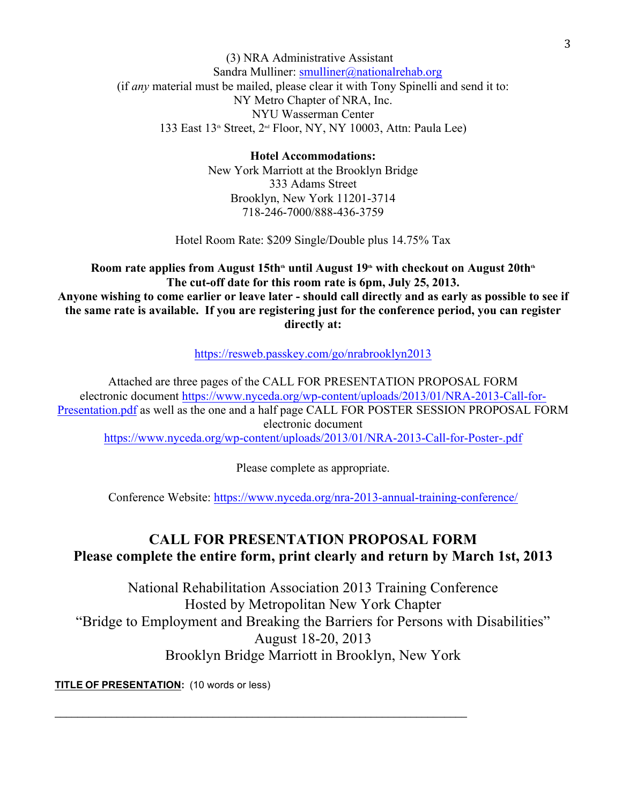### (3) NRA Administrative Assistant Sandra Mulliner: smulliner@nationalrehab.org (if *any* material must be mailed, please clear it with Tony Spinelli and send it to: NY Metro Chapter of NRA, Inc. NYU Wasserman Center 133 East 13th Street, 2nd Floor, NY, NY 10003, Attn: Paula Lee)

**Hotel Accommodations:** New York Marriott at the Brooklyn Bridge 333 Adams Street Brooklyn, New York 11201-3714 718-246-7000/888-436-3759

Hotel Room Rate: \$209 Single/Double plus 14.75% Tax

Room rate applies from August 15th<sup>th</sup> until August 19<sup>th</sup> with checkout on August 20th<sup>th</sup> **The cut-off date for this room rate is 6pm, July 25, 2013. Anyone wishing to come earlier or leave later - should call directly and as early as possible to see if the same rate is available. If you are registering just for the conference period, you can register directly at:**

https://resweb.passkey.com/go/nrabrooklyn2013

Attached are three pages of the CALL FOR PRESENTATION PROPOSAL FORM electronic document https://www.nyceda.org/wp-content/uploads/2013/01/NRA-2013-Call-for-Presentation.pdf as well as the one and a half page CALL FOR POSTER SESSION PROPOSAL FORM electronic document https://www.nyceda.org/wp-content/uploads/2013/01/NRA-2013-Call-for-Poster-.pdf

Please complete as appropriate.

Conference Website: https://www.nyceda.org/nra-2013-annual-training-conference/

## **CALL FOR PRESENTATION PROPOSAL FORM Please complete the entire form, print clearly and return by March 1st, 2013**

National Rehabilitation Association 2013 Training Conference Hosted by Metropolitan New York Chapter "Bridge to Employment and Breaking the Barriers for Persons with Disabilities" August 18-20, 2013 Brooklyn Bridge Marriott in Brooklyn, New York

 $\mathcal{L}_\text{max}$  and  $\mathcal{L}_\text{max}$  and  $\mathcal{L}_\text{max}$  and  $\mathcal{L}_\text{max}$  and  $\mathcal{L}_\text{max}$  and  $\mathcal{L}_\text{max}$ 

**TITLE OF PRESENTATION:** (10 words or less)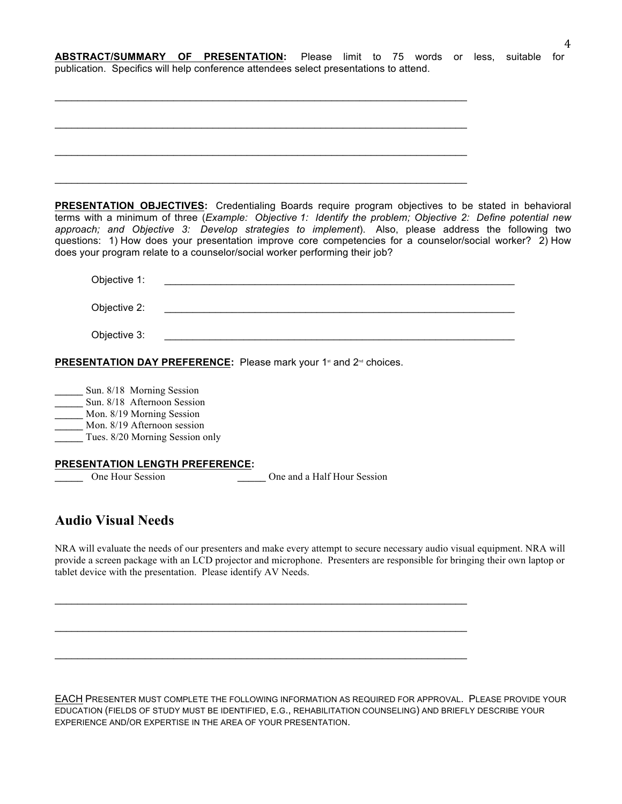**ABSTRACT/SUMMARY OF PRESENTATION:** Please limit to 75 words or less, suitable for publication. Specifics will help conference attendees select presentations to attend.

| <b>PRESENTATION OBJECTIVES:</b> Credentialing Boards require program objectives to be stated in behavioral<br>terms with a minimum of three (Example: Objective 1: Identify the problem; Objective 2: Define potential new |  |
|----------------------------------------------------------------------------------------------------------------------------------------------------------------------------------------------------------------------------|--|
| approach; and Objective 3: Develop strategies to implement). Also, please address the following two                                                                                                                        |  |
| questions: 1) How does your presentation improve core competencies for a counselor/social worker? 2) How                                                                                                                   |  |
| does your program relate to a counselor/social worker performing their job?                                                                                                                                                |  |
| Objective 1:                                                                                                                                                                                                               |  |
| <u> 1990 - Johann Barbara, martin amerikan ba</u>                                                                                                                                                                          |  |
| Objective 2:<br><u> 1980 - Jan James James Barnett, martin de la populación de la propia de la propia de la propia de la propia d</u>                                                                                      |  |
|                                                                                                                                                                                                                            |  |
| Objective 3:<br><u> 1989 - Johann Barbara, martxa alemaniar argumento estas alemaniar alemaniar alemaniar alemaniar alemaniar a</u>                                                                                        |  |
|                                                                                                                                                                                                                            |  |
| <b>PRESENTATION DAY PREFERENCE:</b> Please mark your 1 <sup>st</sup> and 2 <sup>nd</sup> choices.                                                                                                                          |  |
| Sun. 8/18 Morning Session                                                                                                                                                                                                  |  |
| Sun. 8/18 Afternoon Session                                                                                                                                                                                                |  |
| Mon. 8/19 Morning Session                                                                                                                                                                                                  |  |
| Mon. 8/19 Afternoon session                                                                                                                                                                                                |  |
| Tues. 8/20 Morning Session only                                                                                                                                                                                            |  |
| PRESENTATION LENGTH PREFERENCE:                                                                                                                                                                                            |  |
| One Hour Session<br>One and a Half Hour Session                                                                                                                                                                            |  |
|                                                                                                                                                                                                                            |  |

## **Audio Visual Needs**

NRA will evaluate the needs of our presenters and make every attempt to secure necessary audio visual equipment. NRA will provide a screen package with an LCD projector and microphone. Presenters are responsible for bringing their own laptop or tablet device with the presentation. Please identify AV Needs.

 $\mathcal{L}_\text{max}$  and  $\mathcal{L}_\text{max}$  and  $\mathcal{L}_\text{max}$  and  $\mathcal{L}_\text{max}$  and  $\mathcal{L}_\text{max}$  and  $\mathcal{L}_\text{max}$ 

 $\mathcal{L}_\text{max}$  , and the set of the set of the set of the set of the set of the set of the set of the set of the set of

 $\mathcal{L}_\text{max}$  and  $\mathcal{L}_\text{max}$  and  $\mathcal{L}_\text{max}$  and  $\mathcal{L}_\text{max}$  and  $\mathcal{L}_\text{max}$  and  $\mathcal{L}_\text{max}$ 

EACH PRESENTER MUST COMPLETE THE FOLLOWING INFORMATION AS REQUIRED FOR APPROVAL. PLEASE PROVIDE YOUR EDUCATION (FIELDS OF STUDY MUST BE IDENTIFIED, E.G., REHABILITATION COUNSELING) AND BRIEFLY DESCRIBE YOUR EXPERIENCE AND/OR EXPERTISE IN THE AREA OF YOUR PRESENTATION.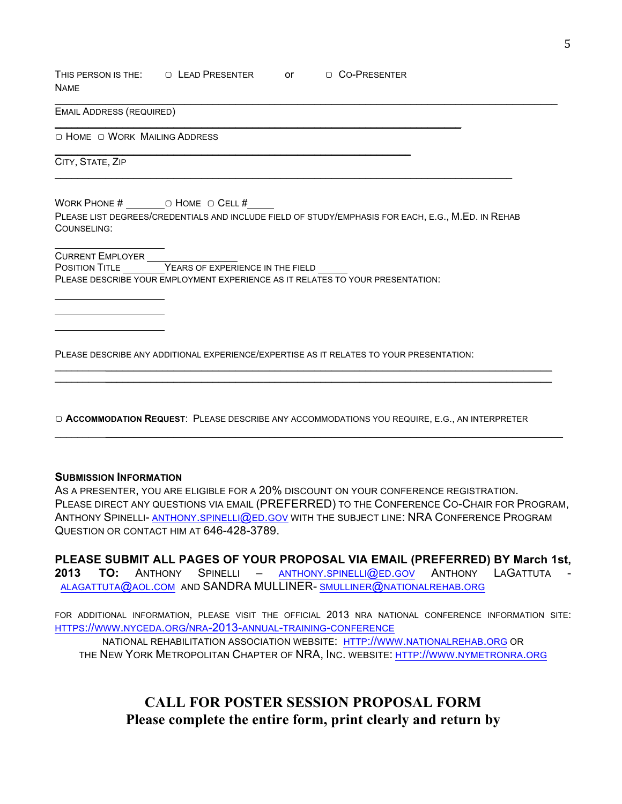THIS PERSON IS THE: ◯ LEAD PRESENTER OT ◯ CO-PRESENTER NAME

 $\mathcal{L}_\text{max} = \mathcal{L}_\text{max} = \mathcal{L}_\text{max} = \mathcal{L}_\text{max} = \mathcal{L}_\text{max} = \mathcal{L}_\text{max} = \mathcal{L}_\text{max} = \mathcal{L}_\text{max} = \mathcal{L}_\text{max} = \mathcal{L}_\text{max} = \mathcal{L}_\text{max} = \mathcal{L}_\text{max} = \mathcal{L}_\text{max} = \mathcal{L}_\text{max} = \mathcal{L}_\text{max} = \mathcal{L}_\text{max} = \mathcal{L}_\text{max} = \mathcal{L}_\text{max} = \mathcal{$ 

 $\mathcal{L}_\mathcal{L} = \mathcal{L}_\mathcal{L} = \mathcal{L}_\mathcal{L} = \mathcal{L}_\mathcal{L} = \mathcal{L}_\mathcal{L} = \mathcal{L}_\mathcal{L} = \mathcal{L}_\mathcal{L} = \mathcal{L}_\mathcal{L} = \mathcal{L}_\mathcal{L} = \mathcal{L}_\mathcal{L} = \mathcal{L}_\mathcal{L} = \mathcal{L}_\mathcal{L} = \mathcal{L}_\mathcal{L} = \mathcal{L}_\mathcal{L} = \mathcal{L}_\mathcal{L} = \mathcal{L}_\mathcal{L} = \mathcal{L}_\mathcal{L}$ 

EMAIL ADDRESS (REQUIRED)

▢ HOME ▢ WORK MAILING ADDRESS

CITY, STATE, ZIP

WORK PHONE # ▢ HOME ▢ CELL #

PLEASE LIST DEGREES/CREDENTIALS AND INCLUDE FIELD OF STUDY/EMPHASIS FOR EACH, E.G., M.ED. IN REHAB COUNSELING:

 $\mathcal{L}_\mathcal{L} = \{ \mathcal{L}_\mathcal{L} = \{ \mathcal{L}_\mathcal{L} = \{ \mathcal{L}_\mathcal{L} = \{ \mathcal{L}_\mathcal{L} = \{ \mathcal{L}_\mathcal{L} = \{ \mathcal{L}_\mathcal{L} = \{ \mathcal{L}_\mathcal{L} = \{ \mathcal{L}_\mathcal{L} = \{ \mathcal{L}_\mathcal{L} = \{ \mathcal{L}_\mathcal{L} = \{ \mathcal{L}_\mathcal{L} = \{ \mathcal{L}_\mathcal{L} = \{ \mathcal{L}_\mathcal{L} = \{ \mathcal{L}_\mathcal{$ 

 $\mathcal{L}_\mathcal{L} = \mathcal{L}_\mathcal{L} = \mathcal{L}_\mathcal{L} = \mathcal{L}_\mathcal{L} = \mathcal{L}_\mathcal{L} = \mathcal{L}_\mathcal{L} = \mathcal{L}_\mathcal{L} = \mathcal{L}_\mathcal{L} = \mathcal{L}_\mathcal{L} = \mathcal{L}_\mathcal{L} = \mathcal{L}_\mathcal{L} = \mathcal{L}_\mathcal{L} = \mathcal{L}_\mathcal{L} = \mathcal{L}_\mathcal{L} = \mathcal{L}_\mathcal{L} = \mathcal{L}_\mathcal{L} = \mathcal{L}_\mathcal{L}$ 

CURRENT EMPLOYER POSITION TITLE **EXPERIENCE IN THE FIELD** PLEASE DESCRIBE YOUR EMPLOYMENT EXPERIENCE AS IT RELATES TO YOUR PRESENTATION:

PLEASE DESCRIBE ANY ADDITIONAL EXPERIENCE/EXPERTISE AS IT RELATES TO YOUR PRESENTATION:

▢ **ACCOMMODATION REQUEST**: PLEASE DESCRIBE ANY ACCOMMODATIONS YOU REQUIRE, E.G., AN INTERPRETER

 $\mathcal{L}_\mathcal{L} = \{ \mathcal{L}_\mathcal{L} = \{ \mathcal{L}_\mathcal{L} = \{ \mathcal{L}_\mathcal{L} = \{ \mathcal{L}_\mathcal{L} = \{ \mathcal{L}_\mathcal{L} = \{ \mathcal{L}_\mathcal{L} = \{ \mathcal{L}_\mathcal{L} = \{ \mathcal{L}_\mathcal{L} = \{ \mathcal{L}_\mathcal{L} = \{ \mathcal{L}_\mathcal{L} = \{ \mathcal{L}_\mathcal{L} = \{ \mathcal{L}_\mathcal{L} = \{ \mathcal{L}_\mathcal{L} = \{ \mathcal{L}_\mathcal{$  $\mathcal{L}_\mathcal{L} = \mathcal{L}_\mathcal{L} = \mathcal{L}_\mathcal{L} = \mathcal{L}_\mathcal{L} = \mathcal{L}_\mathcal{L} = \mathcal{L}_\mathcal{L} = \mathcal{L}_\mathcal{L} = \mathcal{L}_\mathcal{L} = \mathcal{L}_\mathcal{L} = \mathcal{L}_\mathcal{L} = \mathcal{L}_\mathcal{L} = \mathcal{L}_\mathcal{L} = \mathcal{L}_\mathcal{L} = \mathcal{L}_\mathcal{L} = \mathcal{L}_\mathcal{L} = \mathcal{L}_\mathcal{L} = \mathcal{L}_\mathcal{L}$ 

#### **SUBMISSION INFORMATION**

AS A PRESENTER, YOU ARE ELIGIBLE FOR A 20% DISCOUNT ON YOUR CONFERENCE REGISTRATION. PLEASE DIRECT ANY QUESTIONS VIA EMAIL (PREFERRED) TO THE CONFERENCE CO-CHAIR FOR PROGRAM, ANTHONY SPINELLI- ANTHONY.SPINELLI@ED.GOV WITH THE SUBJECT LINE: NRA CONFERENCE PROGRAM QUESTION OR CONTACT HIM AT 646-428-3789.

 $\mathcal{L}_\mathcal{L} = \{ \mathcal{L}_\mathcal{L} = \{ \mathcal{L}_\mathcal{L} = \{ \mathcal{L}_\mathcal{L} = \{ \mathcal{L}_\mathcal{L} = \{ \mathcal{L}_\mathcal{L} = \{ \mathcal{L}_\mathcal{L} = \{ \mathcal{L}_\mathcal{L} = \{ \mathcal{L}_\mathcal{L} = \{ \mathcal{L}_\mathcal{L} = \{ \mathcal{L}_\mathcal{L} = \{ \mathcal{L}_\mathcal{L} = \{ \mathcal{L}_\mathcal{L} = \{ \mathcal{L}_\mathcal{L} = \{ \mathcal{L}_\mathcal{$ 

**PLEASE SUBMIT ALL PAGES OF YOUR PROPOSAL VIA EMAIL (PREFERRED) BY March 1st, 2013 TO:** ANTHONY SPINELLI – ANTHONY.SPINELLI@ED.GOV ANTHONY LAGATTUTA - ALAGATTUTA@AOL.COM AND SANDRA MULLINER- SMULLINER@NATIONALREHAB.ORG

FOR ADDITIONAL INFORMATION, PLEASE VISIT THE OFFICIAL 2013 NRA NATIONAL CONFERENCE INFORMATION SITE: HTTPS://WWW.NYCEDA.ORG/NRA-2013-ANNUAL-TRAINING-CONFERENCE

NATIONAL REHABILITATION ASSOCIATION WEBSITE: HTTP://WWW.NATIONALREHAB.ORG OR THE NEW YORK METROPOLITAN CHAPTER OF NRA, INC. WEBSITE: HTTP://WWW.NYMETRONRA.ORG

**CALL FOR POSTER SESSION PROPOSAL FORM Please complete the entire form, print clearly and return by**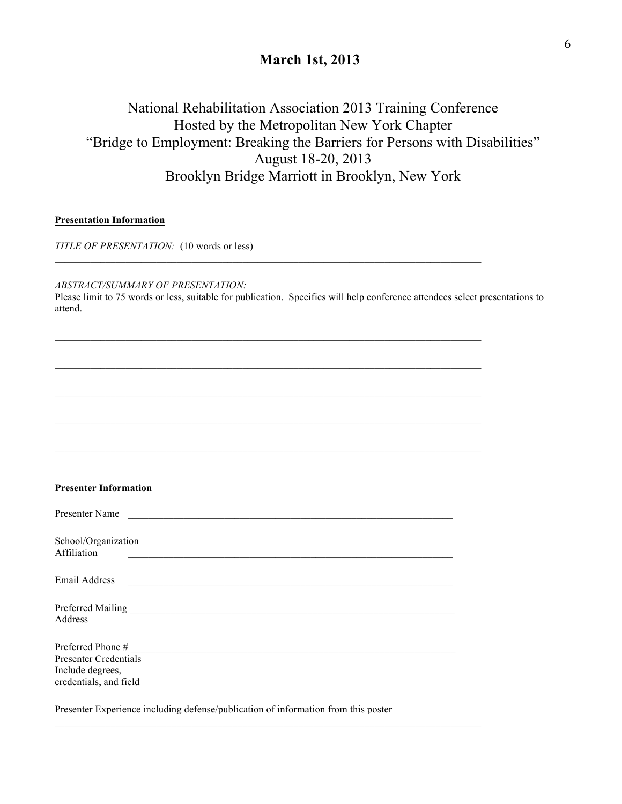## **March 1st, 2013**

## National Rehabilitation Association 2013 Training Conference Hosted by the Metropolitan New York Chapter "Bridge to Employment: Breaking the Barriers for Persons with Disabilities" August 18-20, 2013 Brooklyn Bridge Marriott in Brooklyn, New York

#### **Presentation Information**

*TITLE OF PRESENTATION:* (10 words or less)

*ABSTRACT/SUMMARY OF PRESENTATION:*

Please limit to 75 words or less, suitable for publication. Specifics will help conference attendees select presentations to attend.

 $\mathcal{L}_\mathcal{L} = \{ \mathcal{L}_\mathcal{L} = \{ \mathcal{L}_\mathcal{L} = \{ \mathcal{L}_\mathcal{L} = \{ \mathcal{L}_\mathcal{L} = \{ \mathcal{L}_\mathcal{L} = \{ \mathcal{L}_\mathcal{L} = \{ \mathcal{L}_\mathcal{L} = \{ \mathcal{L}_\mathcal{L} = \{ \mathcal{L}_\mathcal{L} = \{ \mathcal{L}_\mathcal{L} = \{ \mathcal{L}_\mathcal{L} = \{ \mathcal{L}_\mathcal{L} = \{ \mathcal{L}_\mathcal{L} = \{ \mathcal{L}_\mathcal{$ 

 $\mathcal{L}_\mathcal{L} = \{ \mathcal{L}_\mathcal{L} = \{ \mathcal{L}_\mathcal{L} = \{ \mathcal{L}_\mathcal{L} = \{ \mathcal{L}_\mathcal{L} = \{ \mathcal{L}_\mathcal{L} = \{ \mathcal{L}_\mathcal{L} = \{ \mathcal{L}_\mathcal{L} = \{ \mathcal{L}_\mathcal{L} = \{ \mathcal{L}_\mathcal{L} = \{ \mathcal{L}_\mathcal{L} = \{ \mathcal{L}_\mathcal{L} = \{ \mathcal{L}_\mathcal{L} = \{ \mathcal{L}_\mathcal{L} = \{ \mathcal{L}_\mathcal{$ 

| <b>Presenter Information</b>                                               |                                                                                            |                                               |  |
|----------------------------------------------------------------------------|--------------------------------------------------------------------------------------------|-----------------------------------------------|--|
|                                                                            | Presenter Name                                                                             |                                               |  |
| School/Organization<br>Affiliation                                         |                                                                                            | <u> 1980 - Andrea Andrew Maria (h. 1980).</u> |  |
|                                                                            | Email Address <b>Communication Communication Communication Communication Communication</b> |                                               |  |
| Address                                                                    |                                                                                            |                                               |  |
| <b>Presenter Credentials</b><br>Include degrees,<br>credentials, and field |                                                                                            |                                               |  |

 $\mathcal{L}_\text{max}$ 

Presenter Experience including defense/publication of information from this poster